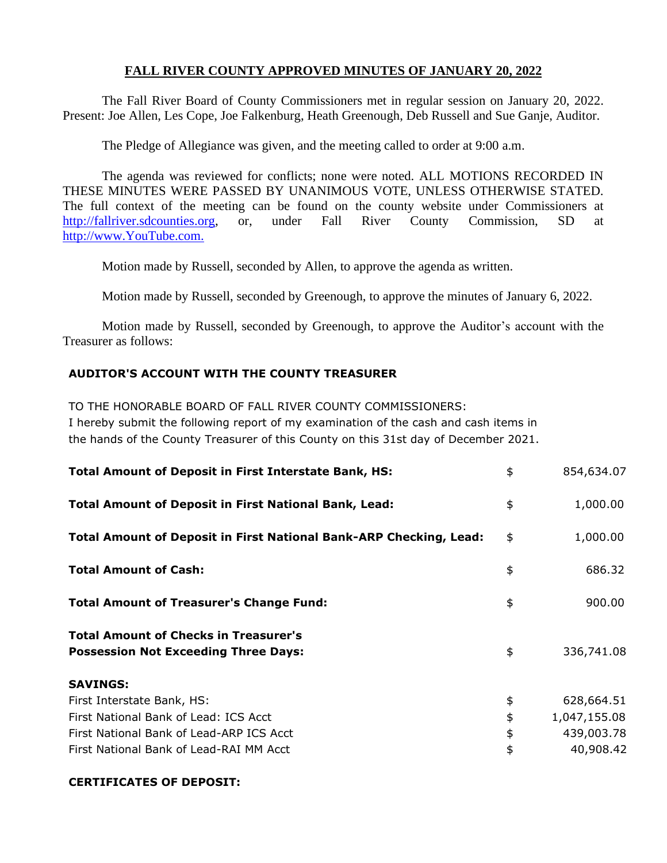## **FALL RIVER COUNTY APPROVED MINUTES OF JANUARY 20, 2022**

The Fall River Board of County Commissioners met in regular session on January 20, 2022. Present: Joe Allen, Les Cope, Joe Falkenburg, Heath Greenough, Deb Russell and Sue Ganje, Auditor.

The Pledge of Allegiance was given, and the meeting called to order at 9:00 a.m.

The agenda was reviewed for conflicts; none were noted. ALL MOTIONS RECORDED IN THESE MINUTES WERE PASSED BY UNANIMOUS VOTE, UNLESS OTHERWISE STATED. The full context of the meeting can be found on the county website under Commissioners at [http://fallriver.sdcounties.org,](http://fallriver.sdcounties.org/) or, under Fall River County Commission, SD at [http://www.YouTube.com.](http://www.youtube.com/)

Motion made by Russell, seconded by Allen, to approve the agenda as written.

Motion made by Russell, seconded by Greenough, to approve the minutes of January 6, 2022.

Motion made by Russell, seconded by Greenough, to approve the Auditor's account with the Treasurer as follows:

### **AUDITOR'S ACCOUNT WITH THE COUNTY TREASURER**

TO THE HONORABLE BOARD OF FALL RIVER COUNTY COMMISSIONERS: I hereby submit the following report of my examination of the cash and cash items in the hands of the County Treasurer of this County on this 31st day of December 2021.

| <b>Total Amount of Deposit in First Interstate Bank, HS:</b>                                | \$<br>854,634.07   |
|---------------------------------------------------------------------------------------------|--------------------|
| <b>Total Amount of Deposit in First National Bank, Lead:</b>                                | \$<br>1,000.00     |
| <b>Total Amount of Deposit in First National Bank-ARP Checking, Lead:</b>                   | \$<br>1,000.00     |
| <b>Total Amount of Cash:</b>                                                                | \$<br>686.32       |
| <b>Total Amount of Treasurer's Change Fund:</b>                                             | \$<br>900.00       |
| <b>Total Amount of Checks in Treasurer's</b><br><b>Possession Not Exceeding Three Days:</b> | \$<br>336,741.08   |
| <b>SAVINGS:</b>                                                                             |                    |
| First Interstate Bank, HS:                                                                  | \$<br>628,664.51   |
| First National Bank of Lead: ICS Acct                                                       | \$<br>1,047,155.08 |
| First National Bank of Lead-ARP ICS Acct                                                    | \$<br>439,003.78   |
| First National Bank of Lead-RAI MM Acct                                                     | \$<br>40,908.42    |

#### **CERTIFICATES OF DEPOSIT:**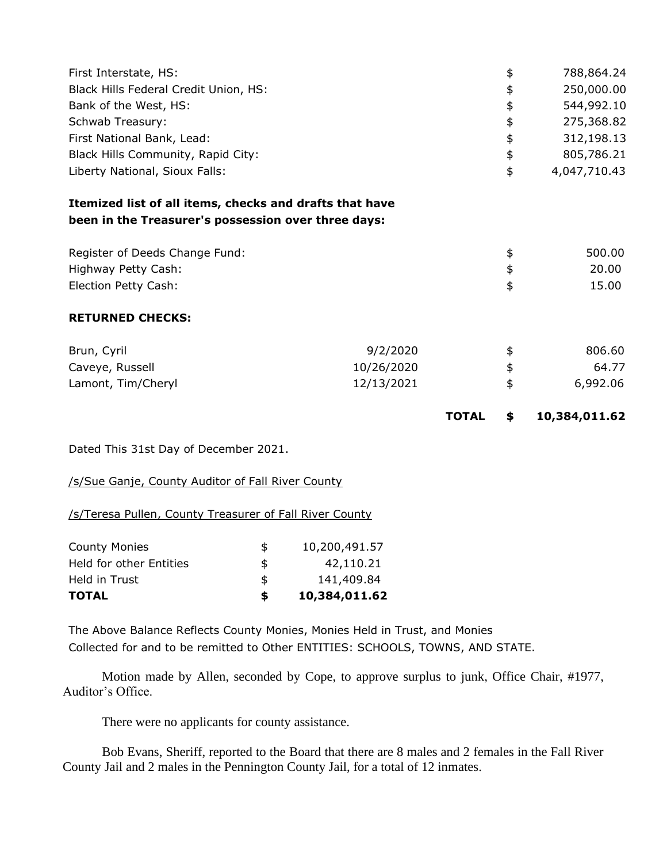| First Interstate, HS:                                                                                          |            |              | \$<br>788,864.24    |
|----------------------------------------------------------------------------------------------------------------|------------|--------------|---------------------|
| Black Hills Federal Credit Union, HS:                                                                          |            |              | \$<br>250,000.00    |
| Bank of the West, HS:                                                                                          |            |              | \$<br>544,992.10    |
| Schwab Treasury:                                                                                               |            |              | \$<br>275,368.82    |
| First National Bank, Lead:                                                                                     |            |              | \$<br>312,198.13    |
| Black Hills Community, Rapid City:                                                                             |            |              | \$<br>805,786.21    |
| Liberty National, Sioux Falls:                                                                                 |            |              | \$<br>4,047,710.43  |
| Itemized list of all items, checks and drafts that have<br>been in the Treasurer's possession over three days: |            |              |                     |
| Register of Deeds Change Fund:                                                                                 |            |              | \$<br>500.00        |
| Highway Petty Cash:                                                                                            |            |              | \$<br>20.00         |
| Election Petty Cash:                                                                                           |            |              | \$<br>15.00         |
| <b>RETURNED CHECKS:</b>                                                                                        |            |              |                     |
| Brun, Cyril                                                                                                    | 9/2/2020   |              | \$<br>806.60        |
| Caveye, Russell                                                                                                | 10/26/2020 |              | \$<br>64.77         |
| Lamont, Tim/Cheryl                                                                                             | 12/13/2021 |              | \$<br>6,992.06      |
|                                                                                                                |            | <b>TOTAL</b> | \$<br>10,384,011.62 |

Dated This 31st Day of December 2021.

/s/Sue Ganje, County Auditor of Fall River County

/s/Teresa Pullen, County Treasurer of Fall River County

| <b>County Monies</b>    | S  | 10,200,491.57 |
|-------------------------|----|---------------|
| Held for other Entities | \$ | 42,110.21     |
| Held in Trust           | \$ | 141,409.84    |
| <b>TOTAL</b>            | S. | 10,384,011.62 |

The Above Balance Reflects County Monies, Monies Held in Trust, and Monies Collected for and to be remitted to Other ENTITIES: SCHOOLS, TOWNS, AND STATE.

Motion made by Allen, seconded by Cope, to approve surplus to junk, Office Chair, #1977, Auditor's Office.

There were no applicants for county assistance.

Bob Evans, Sheriff, reported to the Board that there are 8 males and 2 females in the Fall River County Jail and 2 males in the Pennington County Jail, for a total of 12 inmates.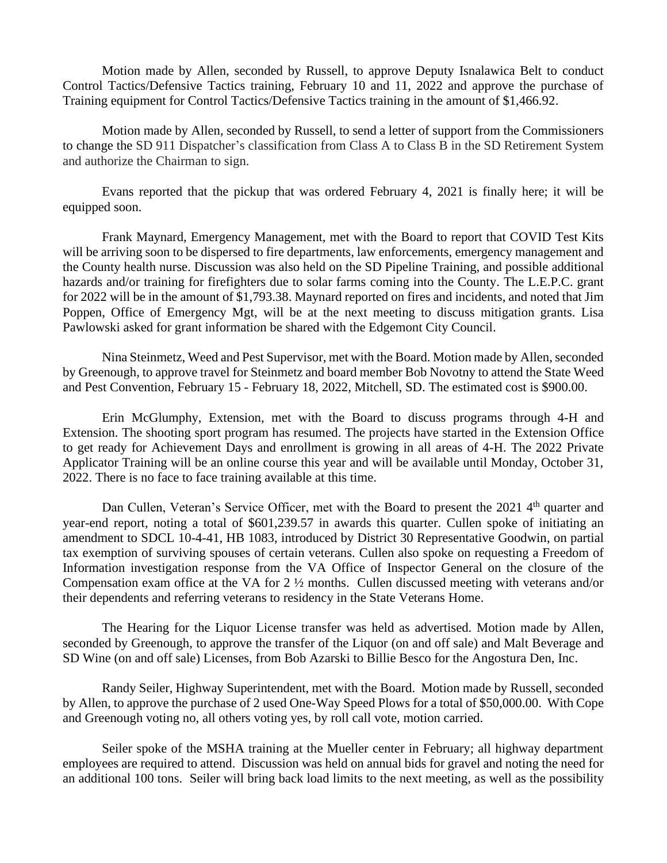Motion made by Allen, seconded by Russell, to approve Deputy Isnalawica Belt to conduct Control Tactics/Defensive Tactics training, February 10 and 11, 2022 and approve the purchase of Training equipment for Control Tactics/Defensive Tactics training in the amount of \$1,466.92.

Motion made by Allen, seconded by Russell, to send a letter of support from the Commissioners to change the SD 911 Dispatcher's classification from Class A to Class B in the SD Retirement System and authorize the Chairman to sign.

Evans reported that the pickup that was ordered February 4, 2021 is finally here; it will be equipped soon.

Frank Maynard, Emergency Management, met with the Board to report that COVID Test Kits will be arriving soon to be dispersed to fire departments, law enforcements, emergency management and the County health nurse. Discussion was also held on the SD Pipeline Training, and possible additional hazards and/or training for firefighters due to solar farms coming into the County. The L.E.P.C. grant for 2022 will be in the amount of \$1,793.38. Maynard reported on fires and incidents, and noted that Jim Poppen, Office of Emergency Mgt, will be at the next meeting to discuss mitigation grants. Lisa Pawlowski asked for grant information be shared with the Edgemont City Council.

Nina Steinmetz, Weed and Pest Supervisor, met with the Board. Motion made by Allen, seconded by Greenough, to approve travel for Steinmetz and board member Bob Novotny to attend the State Weed and Pest Convention, February 15 - February 18, 2022, Mitchell, SD. The estimated cost is \$900.00.

Erin McGlumphy, Extension, met with the Board to discuss programs through 4-H and Extension. The shooting sport program has resumed. The projects have started in the Extension Office to get ready for Achievement Days and enrollment is growing in all areas of 4-H. The 2022 Private Applicator Training will be an online course this year and will be available until Monday, October 31, 2022. There is no face to face training available at this time.

Dan Cullen, Veteran's Service Officer, met with the Board to present the 2021 4<sup>th</sup> quarter and year-end report, noting a total of \$601,239.57 in awards this quarter. Cullen spoke of initiating an amendment to SDCL 10-4-41, HB 1083, introduced by District 30 Representative Goodwin, on partial tax exemption of surviving spouses of certain veterans. Cullen also spoke on requesting a Freedom of Information investigation response from the VA Office of Inspector General on the closure of the Compensation exam office at the VA for 2 ½ months. Cullen discussed meeting with veterans and/or their dependents and referring veterans to residency in the State Veterans Home.

The Hearing for the Liquor License transfer was held as advertised. Motion made by Allen, seconded by Greenough, to approve the transfer of the Liquor (on and off sale) and Malt Beverage and SD Wine (on and off sale) Licenses, from Bob Azarski to Billie Besco for the Angostura Den, Inc.

Randy Seiler, Highway Superintendent, met with the Board. Motion made by Russell, seconded by Allen, to approve the purchase of 2 used One-Way Speed Plows for a total of \$50,000.00. With Cope and Greenough voting no, all others voting yes, by roll call vote, motion carried.

Seiler spoke of the MSHA training at the Mueller center in February; all highway department employees are required to attend. Discussion was held on annual bids for gravel and noting the need for an additional 100 tons. Seiler will bring back load limits to the next meeting, as well as the possibility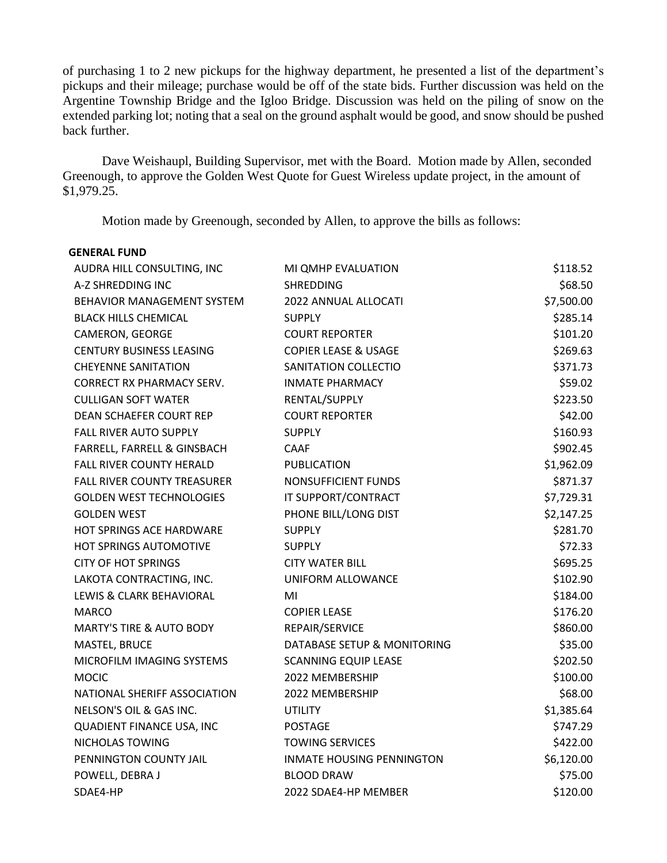of purchasing 1 to 2 new pickups for the highway department, he presented a list of the department's pickups and their mileage; purchase would be off of the state bids. Further discussion was held on the Argentine Township Bridge and the Igloo Bridge. Discussion was held on the piling of snow on the extended parking lot; noting that a seal on the ground asphalt would be good, and snow should be pushed back further.

Dave Weishaupl, Building Supervisor, met with the Board. Motion made by Allen, seconded Greenough, to approve the Golden West Quote for Guest Wireless update project, in the amount of \$1,979.25.

Motion made by Greenough, seconded by Allen, to approve the bills as follows:

| <b>GENERAL FUND</b>                 |                                  |            |
|-------------------------------------|----------------------------------|------------|
| AUDRA HILL CONSULTING, INC          | MI QMHP EVALUATION               | \$118.52   |
| A-Z SHREDDING INC                   | SHREDDING                        | \$68.50    |
| <b>BEHAVIOR MANAGEMENT SYSTEM</b>   | 2022 ANNUAL ALLOCATI             | \$7,500.00 |
| <b>BLACK HILLS CHEMICAL</b>         | <b>SUPPLY</b>                    | \$285.14   |
| CAMERON, GEORGE                     | <b>COURT REPORTER</b>            | \$101.20   |
| <b>CENTURY BUSINESS LEASING</b>     | <b>COPIER LEASE &amp; USAGE</b>  | \$269.63   |
| <b>CHEYENNE SANITATION</b>          | SANITATION COLLECTIO             | \$371.73   |
| <b>CORRECT RX PHARMACY SERV.</b>    | <b>INMATE PHARMACY</b>           | \$59.02    |
| <b>CULLIGAN SOFT WATER</b>          | RENTAL/SUPPLY                    | \$223.50   |
| DEAN SCHAEFER COURT REP             | <b>COURT REPORTER</b>            | \$42.00    |
| <b>FALL RIVER AUTO SUPPLY</b>       | <b>SUPPLY</b>                    | \$160.93   |
| FARRELL, FARRELL & GINSBACH         | <b>CAAF</b>                      | \$902.45   |
| <b>FALL RIVER COUNTY HERALD</b>     | <b>PUBLICATION</b>               | \$1,962.09 |
| FALL RIVER COUNTY TREASURER         | NONSUFFICIENT FUNDS              | \$871.37   |
| <b>GOLDEN WEST TECHNOLOGIES</b>     | IT SUPPORT/CONTRACT              | \$7,729.31 |
| <b>GOLDEN WEST</b>                  | PHONE BILL/LONG DIST             | \$2,147.25 |
| <b>HOT SPRINGS ACE HARDWARE</b>     | <b>SUPPLY</b>                    | \$281.70   |
| HOT SPRINGS AUTOMOTIVE              | <b>SUPPLY</b>                    | \$72.33    |
| <b>CITY OF HOT SPRINGS</b>          | <b>CITY WATER BILL</b>           | \$695.25   |
| LAKOTA CONTRACTING, INC.            | UNIFORM ALLOWANCE                | \$102.90   |
| LEWIS & CLARK BEHAVIORAL            | MI                               | \$184.00   |
| <b>MARCO</b>                        | <b>COPIER LEASE</b>              | \$176.20   |
| <b>MARTY'S TIRE &amp; AUTO BODY</b> | REPAIR/SERVICE                   | \$860.00   |
| MASTEL, BRUCE                       | DATABASE SETUP & MONITORING      | \$35.00    |
| MICROFILM IMAGING SYSTEMS           | <b>SCANNING EQUIP LEASE</b>      | \$202.50   |
| <b>MOCIC</b>                        | 2022 MEMBERSHIP                  | \$100.00   |
| NATIONAL SHERIFF ASSOCIATION        | 2022 MEMBERSHIP                  | \$68.00    |
| NELSON'S OIL & GAS INC.             | <b>UTILITY</b>                   | \$1,385.64 |
| QUADIENT FINANCE USA, INC           | <b>POSTAGE</b>                   | \$747.29   |
| NICHOLAS TOWING                     | <b>TOWING SERVICES</b>           | \$422.00   |
| PENNINGTON COUNTY JAIL              | <b>INMATE HOUSING PENNINGTON</b> | \$6,120.00 |
| POWELL, DEBRA J                     | <b>BLOOD DRAW</b>                | \$75.00    |
| SDAE4-HP                            | 2022 SDAE4-HP MEMBER             | \$120.00   |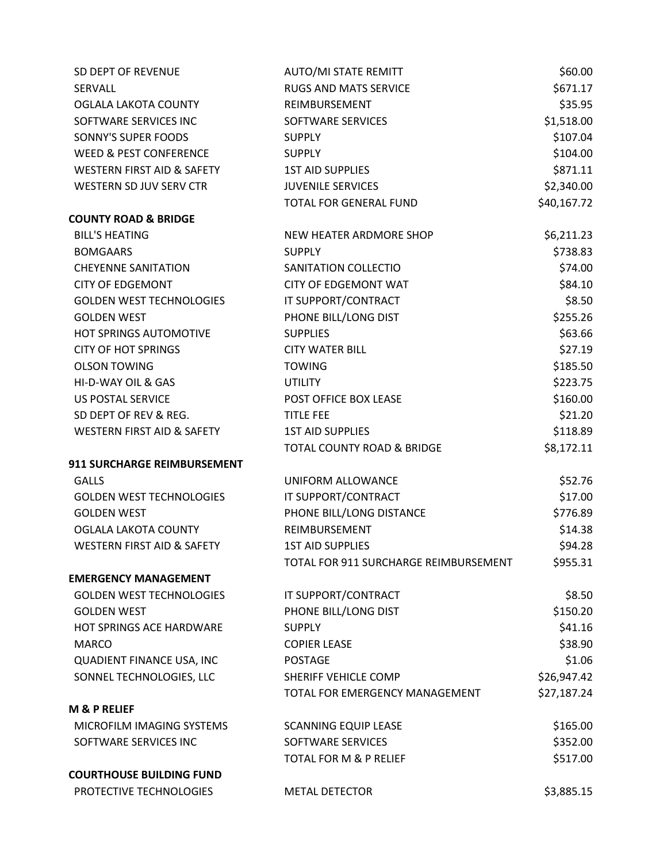| SD DEPT OF REVENUE                    | <b>AUTO/MI STATE REMITT</b>           | \$60.00     |
|---------------------------------------|---------------------------------------|-------------|
| SERVALL                               | <b>RUGS AND MATS SERVICE</b>          | \$671.17    |
| <b>OGLALA LAKOTA COUNTY</b>           | REIMBURSEMENT                         | \$35.95     |
| SOFTWARE SERVICES INC                 | SOFTWARE SERVICES                     | \$1,518.00  |
| SONNY'S SUPER FOODS                   | <b>SUPPLY</b>                         | \$107.04    |
| <b>WEED &amp; PEST CONFERENCE</b>     | <b>SUPPLY</b>                         | \$104.00    |
| <b>WESTERN FIRST AID &amp; SAFETY</b> | <b>1ST AID SUPPLIES</b>               | \$871.11    |
| WESTERN SD JUV SERV CTR               | <b>JUVENILE SERVICES</b>              | \$2,340.00  |
|                                       | TOTAL FOR GENERAL FUND                | \$40,167.72 |
| <b>COUNTY ROAD &amp; BRIDGE</b>       |                                       |             |
| <b>BILL'S HEATING</b>                 | NEW HEATER ARDMORE SHOP               | \$6,211.23  |
| <b>BOMGAARS</b>                       | <b>SUPPLY</b>                         | \$738.83    |
| <b>CHEYENNE SANITATION</b>            | SANITATION COLLECTIO                  | \$74.00     |
| <b>CITY OF EDGEMONT</b>               | <b>CITY OF EDGEMONT WAT</b>           | \$84.10     |
| <b>GOLDEN WEST TECHNOLOGIES</b>       | IT SUPPORT/CONTRACT                   | \$8.50      |
| <b>GOLDEN WEST</b>                    | PHONE BILL/LONG DIST                  | \$255.26    |
| HOT SPRINGS AUTOMOTIVE                | <b>SUPPLIES</b>                       | \$63.66     |
| <b>CITY OF HOT SPRINGS</b>            | <b>CITY WATER BILL</b>                | \$27.19     |
| <b>OLSON TOWING</b>                   | <b>TOWING</b>                         | \$185.50    |
| HI-D-WAY OIL & GAS                    | <b>UTILITY</b>                        | \$223.75    |
| <b>US POSTAL SERVICE</b>              | POST OFFICE BOX LEASE                 | \$160.00    |
| SD DEPT OF REV & REG.                 | <b>TITLE FEE</b>                      | \$21.20     |
| <b>WESTERN FIRST AID &amp; SAFETY</b> | <b>1ST AID SUPPLIES</b>               | \$118.89    |
|                                       | TOTAL COUNTY ROAD & BRIDGE            | \$8,172.11  |
| 911 SURCHARGE REIMBURSEMENT           |                                       |             |
| <b>GALLS</b>                          | UNIFORM ALLOWANCE                     | \$52.76     |
| <b>GOLDEN WEST TECHNOLOGIES</b>       | IT SUPPORT/CONTRACT                   | \$17.00     |
| <b>GOLDEN WEST</b>                    | PHONE BILL/LONG DISTANCE              | \$776.89    |
| OGLALA LAKOTA COUNTY                  | REIMBURSEMENT                         | \$14.38     |
| <b>WESTERN FIRST AID &amp; SAFETY</b> | <b>1ST AID SUPPLIES</b>               | \$94.28     |
|                                       | TOTAL FOR 911 SURCHARGE REIMBURSEMENT | \$955.31    |
| <b>EMERGENCY MANAGEMENT</b>           |                                       |             |
| <b>GOLDEN WEST TECHNOLOGIES</b>       | IT SUPPORT/CONTRACT                   | \$8.50      |
| <b>GOLDEN WEST</b>                    | PHONE BILL/LONG DIST                  | \$150.20    |
| <b>HOT SPRINGS ACE HARDWARE</b>       | <b>SUPPLY</b>                         | \$41.16     |
| <b>MARCO</b>                          | <b>COPIER LEASE</b>                   | \$38.90     |
| QUADIENT FINANCE USA, INC             | <b>POSTAGE</b>                        | \$1.06      |
| SONNEL TECHNOLOGIES, LLC              | SHERIFF VEHICLE COMP                  | \$26,947.42 |
|                                       | TOTAL FOR EMERGENCY MANAGEMENT        | \$27,187.24 |
| <b>M &amp; P RELIEF</b>               |                                       |             |
| MICROFILM IMAGING SYSTEMS             | <b>SCANNING EQUIP LEASE</b>           | \$165.00    |
| SOFTWARE SERVICES INC                 | SOFTWARE SERVICES                     | \$352.00    |
|                                       | <b>TOTAL FOR M &amp; P RELIEF</b>     | \$517.00    |
| <b>COURTHOUSE BUILDING FUND</b>       |                                       |             |
| PROTECTIVE TECHNOLOGIES               | <b>METAL DETECTOR</b>                 | \$3,885.15  |
|                                       |                                       |             |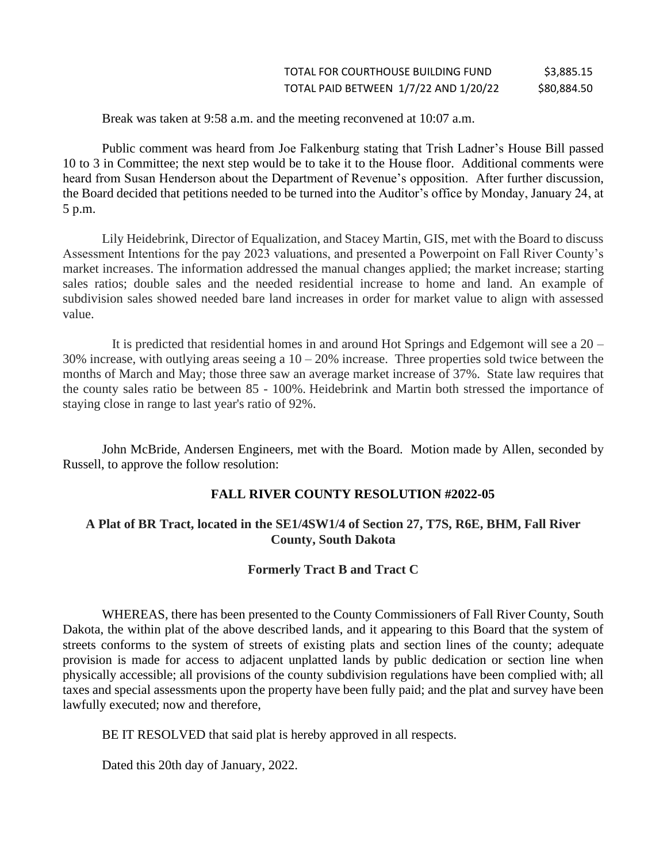Break was taken at 9:58 a.m. and the meeting reconvened at 10:07 a.m.

Public comment was heard from Joe Falkenburg stating that Trish Ladner's House Bill passed 10 to 3 in Committee; the next step would be to take it to the House floor. Additional comments were heard from Susan Henderson about the Department of Revenue's opposition. After further discussion, the Board decided that petitions needed to be turned into the Auditor's office by Monday, January 24, at 5 p.m.

Lily Heidebrink, Director of Equalization, and Stacey Martin, GIS, met with the Board to discuss Assessment Intentions for the pay 2023 valuations, and presented a Powerpoint on Fall River County's market increases. The information addressed the manual changes applied; the market increase; starting sales ratios; double sales and the needed residential increase to home and land. An example of subdivision sales showed needed bare land increases in order for market value to align with assessed value.

 It is predicted that residential homes in and around Hot Springs and Edgemont will see a 20 – 30% increase, with outlying areas seeing a  $10 - 20%$  increase. Three properties sold twice between the months of March and May; those three saw an average market increase of 37%. State law requires that the county sales ratio be between 85 - 100%. Heidebrink and Martin both stressed the importance of staying close in range to last year's ratio of 92%.

John McBride, Andersen Engineers, met with the Board. Motion made by Allen, seconded by Russell, to approve the follow resolution:

# **FALL RIVER COUNTY RESOLUTION #2022-05**

## **A Plat of BR Tract, located in the SE1/4SW1/4 of Section 27, T7S, R6E, BHM, Fall River County, South Dakota**

# **Formerly Tract B and Tract C**

WHEREAS, there has been presented to the County Commissioners of Fall River County, South Dakota, the within plat of the above described lands, and it appearing to this Board that the system of streets conforms to the system of streets of existing plats and section lines of the county; adequate provision is made for access to adjacent unplatted lands by public dedication or section line when physically accessible; all provisions of the county subdivision regulations have been complied with; all taxes and special assessments upon the property have been fully paid; and the plat and survey have been lawfully executed; now and therefore,

BE IT RESOLVED that said plat is hereby approved in all respects.

Dated this 20th day of January, 2022.